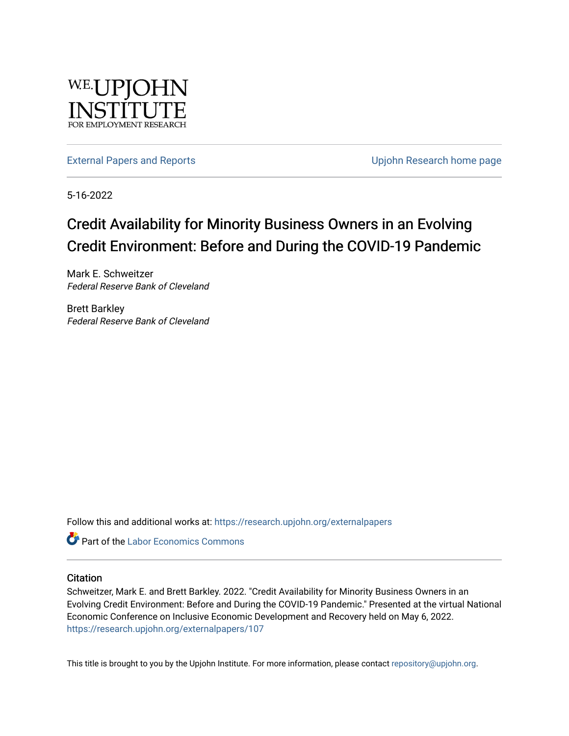

[External Papers and Reports](https://research.upjohn.org/externalpapers) **External Papers and Reports** Contract Contract Contract Contract Upjohn Research home page

5-16-2022

#### Credit Availability for Minority Business Owners in an Evolving Credit Environment: Before and During the COVID-19 Pandemic

Mark E. Schweitzer Federal Reserve Bank of Cleveland

Brett Barkley Federal Reserve Bank of Cleveland

Follow this and additional works at: [https://research.upjohn.org/externalpapers](https://research.upjohn.org/externalpapers?utm_source=research.upjohn.org%2Fexternalpapers%2F107&utm_medium=PDF&utm_campaign=PDFCoverPages)

**Part of the [Labor Economics Commons](https://network.bepress.com/hgg/discipline/349?utm_source=research.upjohn.org%2Fexternalpapers%2F107&utm_medium=PDF&utm_campaign=PDFCoverPages)** 

#### **Citation**

Schweitzer, Mark E. and Brett Barkley. 2022. "Credit Availability for Minority Business Owners in an Evolving Credit Environment: Before and During the COVID-19 Pandemic." Presented at the virtual National Economic Conference on Inclusive Economic Development and Recovery held on May 6, 2022. <https://research.upjohn.org/externalpapers/107>

This title is brought to you by the Upjohn Institute. For more information, please contact [repository@upjohn.org](mailto:repository@upjohn.org).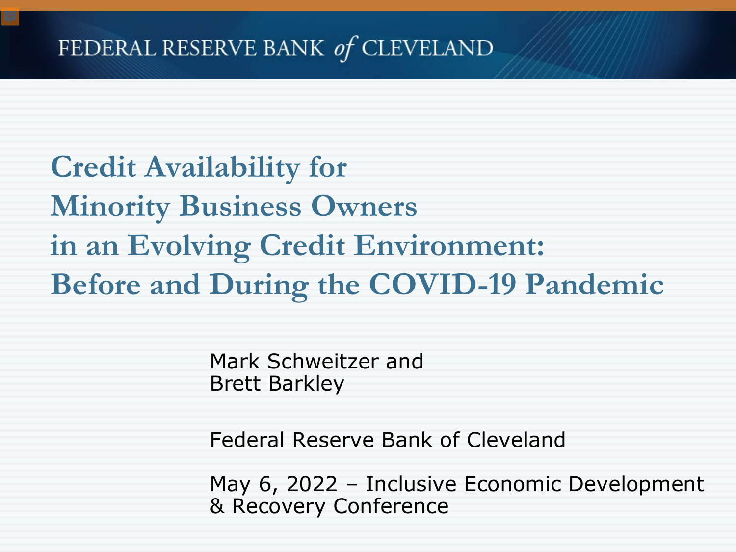**Credit Availability for Minority Business Owners in an Evolving Credit Environment: Before and During the COVID-19 Pandemic**

> Mark Schweitzer and Brett Barkley

Federal Reserve Bank of Cleveland

May 6, 2022 – Inclusive Economic Development & Recovery Conference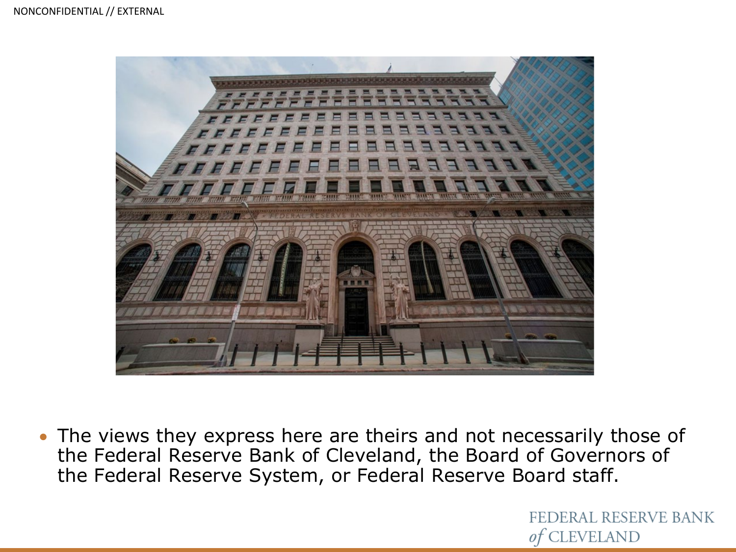

• The views they express here are theirs and not necessarily those of the Federal Reserve Bank of Cleveland, the Board of Governors of the Federal Reserve System, or Federal Reserve Board staff.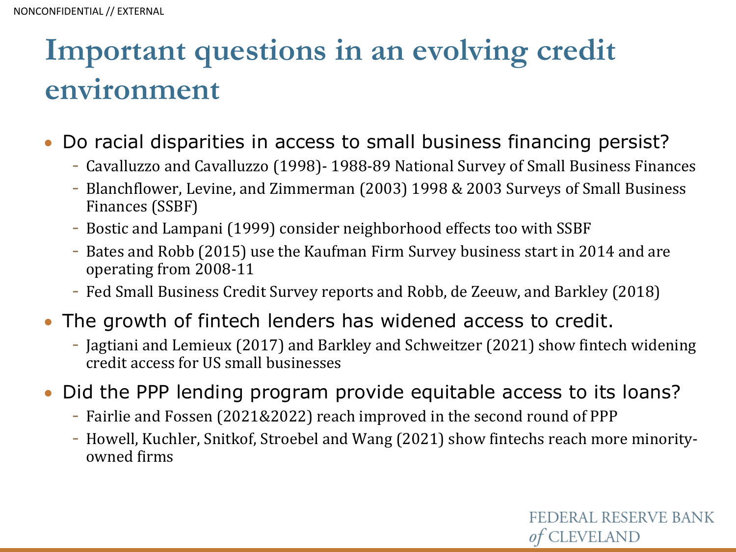# **Important questions in an evolving credit environment**

- Do racial disparities in access to small business financing persist?
	- Cavalluzzo and Cavalluzzo (1998)- 1988-89 National Survey of Small Business Finances
	- Blanchflower, Levine, and Zimmerman (2003) 1998 & 2003 Surveys of Small Business Finances (SSBF)
	- Bostic and Lampani (1999) consider neighborhood effects too with SSBF
	- Bates and Robb (2015) use the Kaufman Firm Survey business start in 2014 and are operating from 2008-11
	- Fed Small Business Credit Survey reports and Robb, de Zeeuw, and Barkley (2018)
- The growth of fintech lenders has widened access to credit.
	- Jagtiani and Lemieux (2017) and Barkley and Schweitzer (2021) show fintech widening credit access for US small businesses
- Did the PPP lending program provide equitable access to its loans?
	- Fairlie and Fossen (2021&2022) reach improved in the second round of PPP
	- Howell, Kuchler, Snitkof, Stroebel and Wang (2021) show fintechs reach more minorityowned firms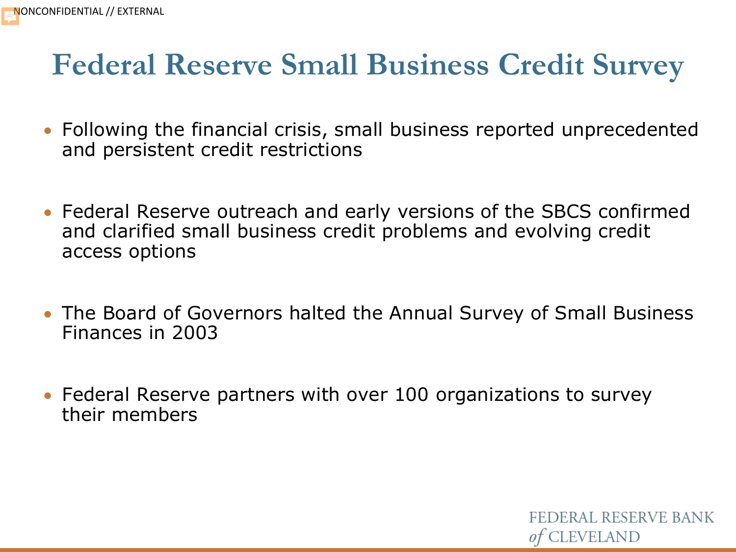#### **Federal Reserve Small Business Credit Survey**

- Following the financial crisis, small business reported unprecedented and persistent credit restrictions
- Federal Reserve outreach and early versions of the SBCS confirmed and clarified small business credit problems and evolving credit access options
- The Board of Governors halted the Annual Survey of Small Business Finances in 2003

FEDERAL RESERVE BANK

*of* CLEVELAND

• Federal Reserve partners with over 100 organizations to survey their members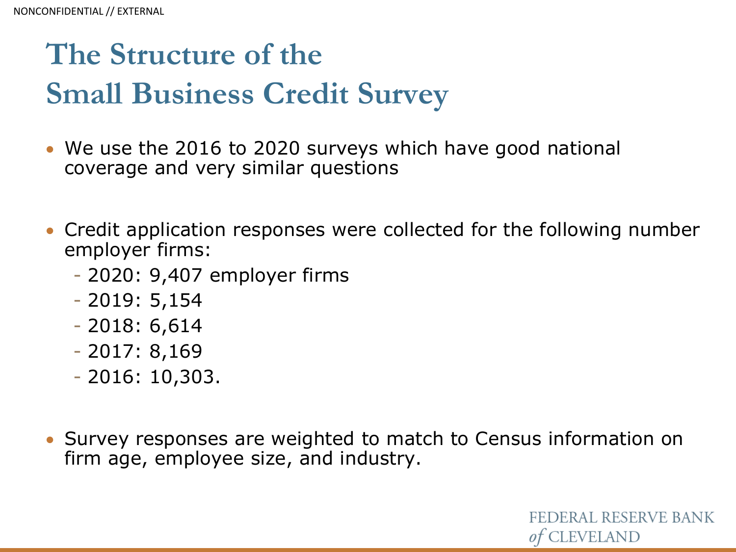# **The Structure of the Small Business Credit Survey**

- We use the 2016 to 2020 surveys which have good national coverage and very similar questions
- Credit application responses were collected for the following number employer firms:
	- 2020: 9,407 employer firms
	- 2019: 5,154
	- 2018: 6,614
	- 2017: 8,169
	- 2016: 10,303.
- Survey responses are weighted to match to Census information on firm age, employee size, and industry.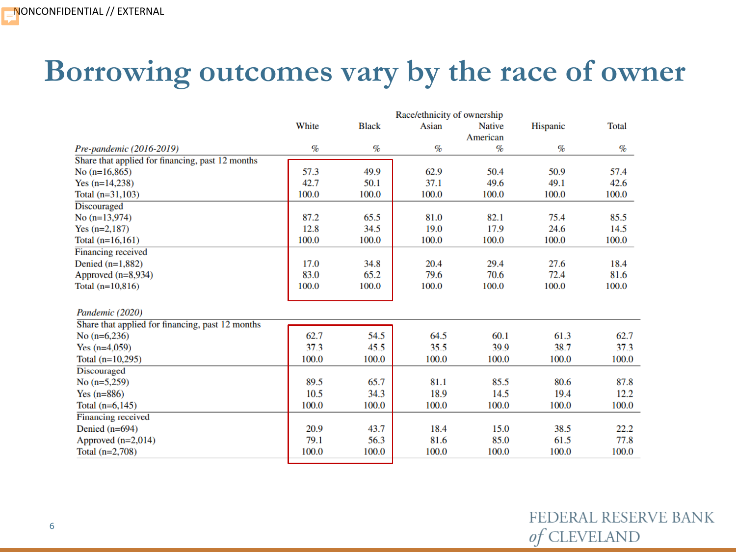### **Borrowing outcomes vary by the race of owner**

|                                                  | Race/ethnicity of ownership |              |       |               |          |              |
|--------------------------------------------------|-----------------------------|--------------|-------|---------------|----------|--------------|
|                                                  | White                       | <b>Black</b> | Asian | <b>Native</b> | Hispanic | <b>Total</b> |
|                                                  |                             |              |       |               |          |              |
| Pre-pandemic (2016-2019)                         | $\%$                        | $\%$         | $\%$  | $\%$          | $\%$     | $\%$         |
| Share that applied for financing, past 12 months |                             |              |       |               |          |              |
| No $(n=16,865)$                                  | 57.3                        | 49.9         | 62.9  | 50.4          | 50.9     | 57.4         |
| Yes $(n=14,238)$                                 | 42.7                        | 50.1         | 37.1  | 49.6          | 49.1     | 42.6         |
| Total $(n=31, 103)$                              | 100.0                       | 100.0        | 100.0 | 100.0         | 100.0    | 100.0        |
| Discouraged                                      |                             |              |       |               |          |              |
| No $(n=13.974)$                                  | 87.2                        | 65.5         | 81.0  | 82.1          | 75.4     | 85.5         |
| Yes $(n=2,187)$                                  | 12.8                        | 34.5         | 19.0  | 17.9          | 24.6     | 14.5         |
| Total $(n=16,161)$                               | 100.0                       | 100.0        | 100.0 | 100.0         | 100.0    | 100.0        |
| Financing received                               |                             |              |       |               |          |              |
| Denied $(n=1,882)$                               | 17.0                        | 34.8         | 20.4  | 29.4          | 27.6     | 18.4         |
| Approved $(n=8,934)$                             | 83.0                        | 65.2         | 79.6  | 70.6          | 72.4     | 81.6         |
| Total $(n=10,816)$                               | 100.0                       | 100.0        | 100.0 | 100.0         | 100.0    | 100.0        |
| Pandemic (2020)                                  |                             |              |       |               |          |              |
| Share that applied for financing, past 12 months |                             |              |       |               |          |              |
| No $(n=6,236)$                                   | 62.7                        | 54.5         | 64.5  | 60.1          | 61.3     | 62.7         |
| Yes $(n=4,059)$                                  | 37.3                        | 45.5         | 35.5  | 39.9          | 38.7     | 37.3         |
| Total $(n=10,295)$                               | 100.0                       | 100.0        | 100.0 | 100.0         | 100.0    | 100.0        |
| <b>Discouraged</b>                               |                             |              |       |               |          |              |
| No $(n=5,259)$                                   | 89.5                        | 65.7         | 81.1  | 85.5          | 80.6     | 87.8         |
| Yes $(n=886)$                                    | 10.5                        | 34.3         | 18.9  | 14.5          | 19.4     | 12.2         |
| Total $(n=6, 145)$                               | 100.0                       | 100.0        | 100.0 | 100.0         | 100.0    | 100.0        |
| Financing received                               |                             |              |       |               |          |              |
| Denied $(n=694)$                                 | 20.9                        | 43.7         | 18.4  | 15.0          | 38.5     | 22.2         |
| Approved $(n=2,014)$                             | 79.1                        | 56.3         | 81.6  | 85.0          | 61.5     | 77.8         |
| Total $(n=2,708)$                                | 100.0                       | 100.0        | 100.0 | 100.0         | 100.0    | 100.0        |
|                                                  |                             |              |       |               |          |              |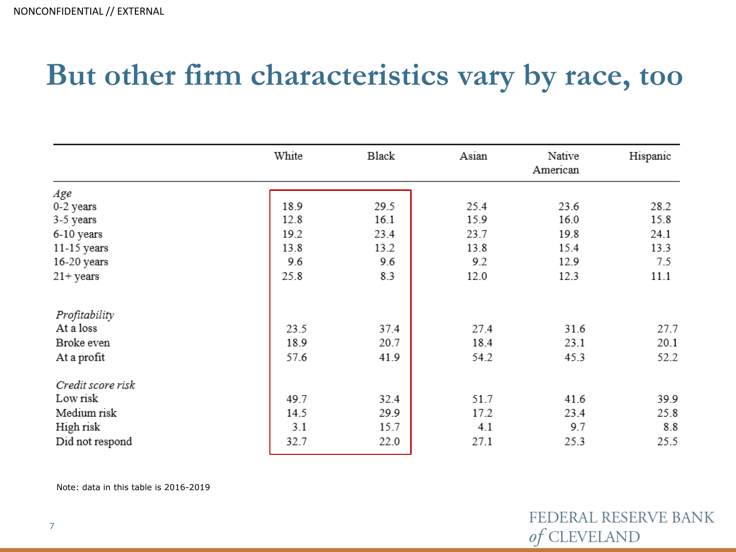### **But other firm characteristics vary by race, too**

|                     | White | Black | Asian | Native<br>American | Hispanic |
|---------------------|-------|-------|-------|--------------------|----------|
| Age                 |       |       |       |                    |          |
| 0-2 years           | 18.9  | 29.5  | 25.4  | 23.6               | 28.2     |
| 3-5 years           | 12.8  | 16.1  | 15.9  | 16.0               | 15.8     |
| 6-10 years          | 19.2  | 23.4  | 23.7  | 19.8               | 24.1     |
| 11-15 years         | 13.8  | 13.2  | 13.8  | 15.4               | 13.3     |
| 16-20 years         | 9.6   | 9.6   | 9.2   | 12.9               | 7.5      |
| $21 + \text{years}$ | 25.8  | 8.3   | 12.0  | 12.3               | 11.1     |
| Profitability       |       |       |       |                    |          |
| At a loss           | 23.5  | 37.4  | 27.4  | 31.6               | 27.7     |
| Broke even          | 18.9  | 20.7  | 18.4  | 23.1               | 20.1     |
| At a profit         | 57.6  | 41.9  | 54.2  | 45.3               | 52.2     |
| Credit score risk   |       |       |       |                    |          |
| Low risk            | 49.7  | 32.4  | 51.7  | 41.6               | 39.9     |
| Medium risk         | 14.5  | 29.9  | 17.2  | 23.4               | 25.8     |
| High risk           | 3.1   | 15.7  | 4.1   | 9.7                | 8.8      |
| Did not respond     | 32.7  | 22.0  | 27.1  | 25.3               | 25.5     |

Note: data in this table is 2016-2019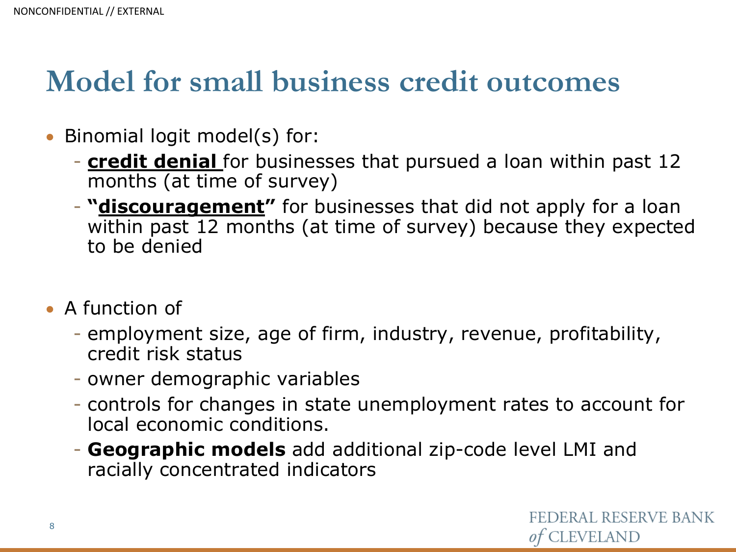#### **Model for small business credit outcomes**

- Binomial logit model(s) for:
	- **credit denial** for businesses that pursued a loan within past 12 months (at time of survey)
	- **"discouragement"** for businesses that did not apply for a loan within past 12 months (at time of survey) because they expected to be denied
- A function of
	- employment size, age of firm, industry, revenue, profitability, credit risk status
	- owner demographic variables
	- controls for changes in state unemployment rates to account for local economic conditions.
	- **Geographic models** add additional zip-code level LMI and racially concentrated indicators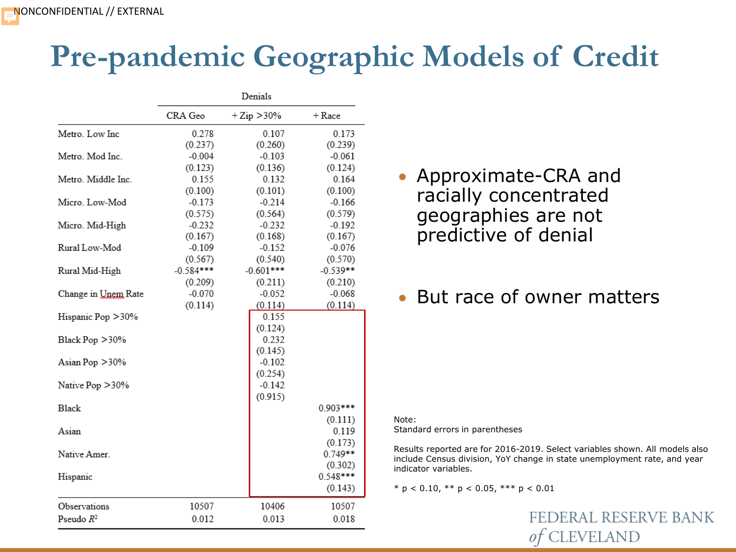## **Pre-pandemic Geographic Models of Credit**

|                            | Denials     |                |            |  |  |
|----------------------------|-------------|----------------|------------|--|--|
|                            | CRA Geo     | $+ Zip > 30\%$ | $+$ Race   |  |  |
| Metro. Low Inc             | 0.278       | 0.107          | 0.173      |  |  |
|                            | (0.237)     | (0.260)        | (0.239)    |  |  |
| Metro. Mod Inc.            | $-0.004$    | $-0.103$       | $-0.061$   |  |  |
|                            | (0.123)     | (0.136)        | (0.124)    |  |  |
| Metro. Middle Inc.         | 0.155       | 0.132          | 0.164      |  |  |
|                            | (0.100)     | (0.101)        | (0.100)    |  |  |
| Micro. Low-Mod             | $-0.173$    | $-0.214$       | $-0.166$   |  |  |
|                            | (0.575)     | (0.564)        | (0.579)    |  |  |
| Micro. Mid-High            | $-0.232$    | $-0.232$       | $-0.192$   |  |  |
|                            | (0.167)     | (0.168)        | (0.167)    |  |  |
| Rural Low-Mod              | $-0.109$    | $-0.152$       | $-0.076$   |  |  |
|                            | (0.567)     | (0.540)        | (0.570)    |  |  |
| Rural Mid-High             | $-0.584***$ | $-0.601***$    | $-0.539**$ |  |  |
|                            | (0.209)     | (0.211)        | (0.210)    |  |  |
| Change in <u>Unem</u> Rate | $-0.070$    | $-0.052$       | $-0.068$   |  |  |
|                            | (0.114)     | (0.114)        | (0.114)    |  |  |
| Hispanic Pop > 30%         |             | 0.155          |            |  |  |
|                            |             | (0.124)        |            |  |  |
| Black Pop $>30\%$          |             | 0.232          |            |  |  |
|                            |             | (0.145)        |            |  |  |
| Asian Pop > 30%            |             | $-0.102$       |            |  |  |
|                            |             | (0.254)        |            |  |  |
| Native Pop > 30%           |             | $-0.142$       |            |  |  |
|                            |             | (0.915)        |            |  |  |
| <b>Black</b>               |             |                | 0.903***   |  |  |
|                            |             |                | (0.111)    |  |  |
| Asian                      |             |                | 0.119      |  |  |
|                            |             |                | (0.173)    |  |  |
| Native Amer.               |             |                | 0.749**    |  |  |
|                            |             |                | (0.302)    |  |  |
| Hispanic                   |             |                | 0.548***   |  |  |
|                            |             |                | (0.143)    |  |  |
| Observations               | 10507       | 10406          | 10507      |  |  |
| Pseudo $R^2$               | 0.012       | 0.013          | 0.018      |  |  |
|                            |             |                |            |  |  |

• Approximate-CRA and racially concentrated geographies are not predictive of denial

#### • But race of owner matters

Note: Standard errors in parentheses

Results reported are for 2016-2019. Select variables shown. All models also include Census division, YoY change in state unemployment rate, and year indicator variables.

\* p < 0.10, \*\* p < 0.05, \*\*\* p < 0.01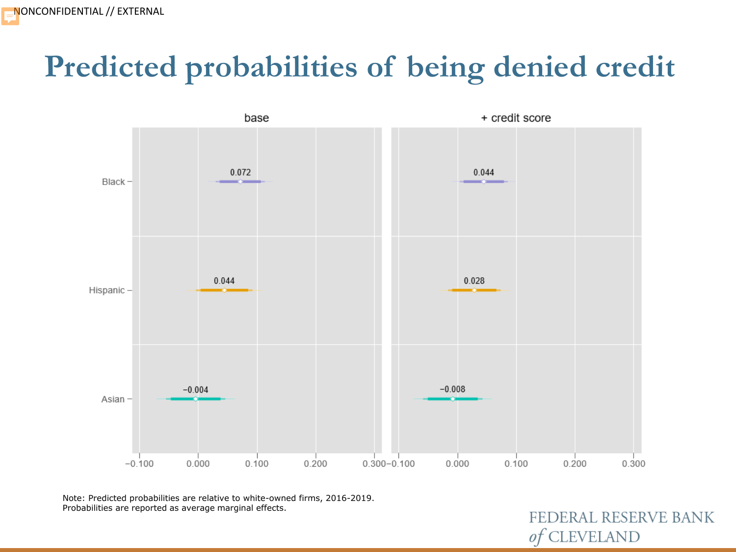## **Predicted probabilities of being denied credit**



Note: Predicted probabilities are relative to white-owned firms, 2016-2019. Probabilities are reported as average marginal effects.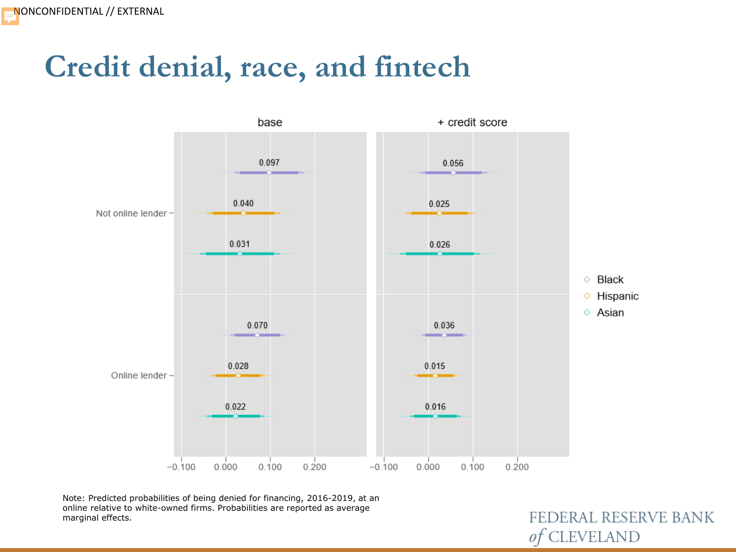#### **Credit denial, race, and fintech**



Note: Predicted probabilities of being denied for financing, 2016-2019, at an online relative to white-owned firms. Probabilities are reported as average marginal effects.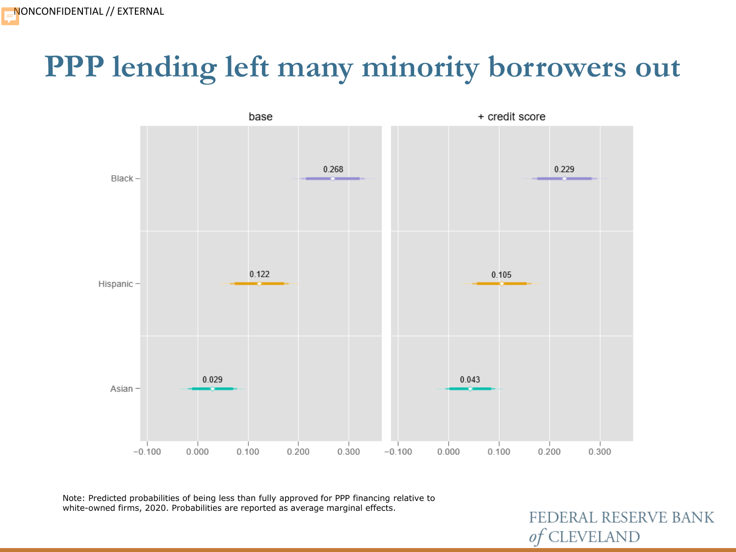### **PPP lending left many minority borrowers out**



Note: Predicted probabilities of being less than fully approved for PPP financing relative to white-owned firms, 2020. Probabilities are reported as average marginal effects.